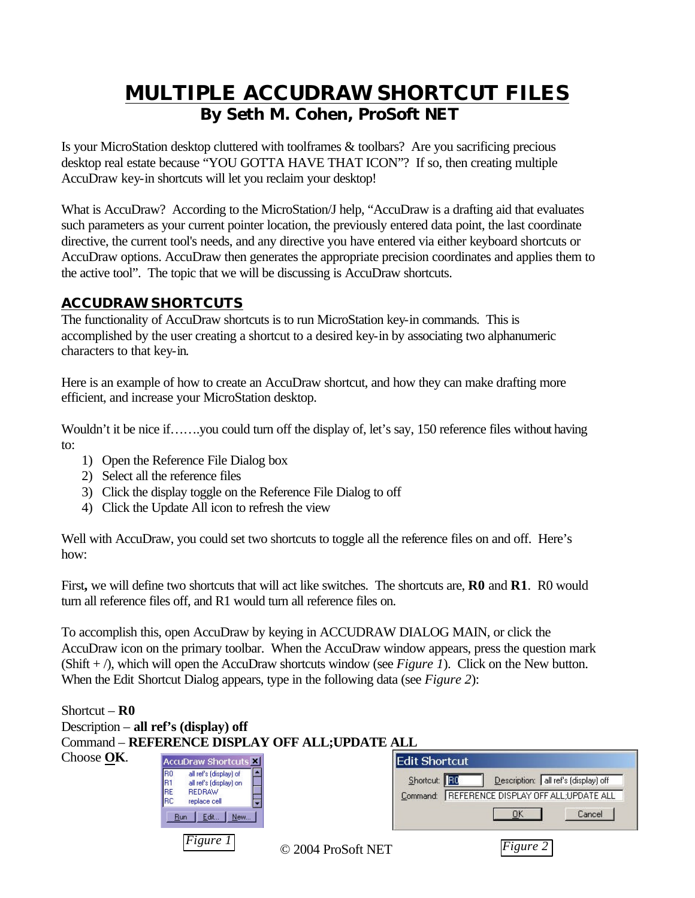# **MULTIPLE ACCUDRAW SHORTCUT FILES By Seth M. Cohen, ProSoft NET**

Is your MicroStation desktop cluttered with toolframes & toolbars? Are you sacrificing precious desktop real estate because "YOU GOTTA HAVE THAT ICON"? If so, then creating multiple AccuDraw key-in shortcuts will let you reclaim your desktop!

What is AccuDraw? According to the MicroStation/J help, "AccuDraw is a drafting aid that evaluates such parameters as your current pointer location, the previously entered data point, the last coordinate directive, the current tool's needs, and any directive you have entered via either keyboard shortcuts or AccuDraw options. AccuDraw then generates the appropriate precision coordinates and applies them to the active tool". The topic that we will be discussing is AccuDraw shortcuts.

# **ACCUDRAW SHORTCUTS**

The functionality of AccuDraw shortcuts is to run MicroStation key-in commands. This is accomplished by the user creating a shortcut to a desired key-in by associating two alphanumeric characters to that key-in.

Here is an example of how to create an AccuDraw shortcut, and how they can make drafting more efficient, and increase your MicroStation desktop.

Wouldn't it be nice if…….you could turn off the display of, let's say, 150 reference files without having to:

- 1) Open the Reference File Dialog box
- 2) Select all the reference files
- 3) Click the display toggle on the Reference File Dialog to off
- 4) Click the Update All icon to refresh the view

Well with AccuDraw, you could set two shortcuts to toggle all the reference files on and off. Here's how:

First**,** we will define two shortcuts that will act like switches. The shortcuts are, **R0** and **R1**. R0 would turn all reference files off, and R1 would turn all reference files on.

To accomplish this, open AccuDraw by keying in ACCUDRAW DIALOG MAIN, or click the AccuDraw icon on the primary toolbar. When the AccuDraw window appears, press the question mark (Shift + /), which will open the AccuDraw shortcuts window (see *Figure 1*). Click on the New button. When the Edit Shortcut Dialog appears, type in the following data (see *Figure 2*):

| Shortcut – $R0$                                 |                                                                                                                                                                  |                    |                                                                                                                                                         |  |  |  |
|-------------------------------------------------|------------------------------------------------------------------------------------------------------------------------------------------------------------------|--------------------|---------------------------------------------------------------------------------------------------------------------------------------------------------|--|--|--|
|                                                 | Description – all ref's (display) off                                                                                                                            |                    |                                                                                                                                                         |  |  |  |
| Command - REFERENCE DISPLAY OFF ALL; UPDATE ALL |                                                                                                                                                                  |                    |                                                                                                                                                         |  |  |  |
| Choose OK.                                      | AccuDraw Shortcuts<br>all ref's (display) of<br>IR0<br>all ref's (display) on<br>IB1<br>IRE<br><b>REDRAW</b><br>IBC<br>replace cell<br>Edit<br><b>Run</b><br>New |                    | <b>Edit Shortcut</b><br>Description: all ref's (display) off<br>Shortcut: <b>RC</b><br>REFERENCE DISPLAY OFF ALL:UPDATE ALL<br>Command:<br>Cancel<br>OK |  |  |  |
|                                                 | Figure 1                                                                                                                                                         | © 2004 ProSoft NET | Figure 2                                                                                                                                                |  |  |  |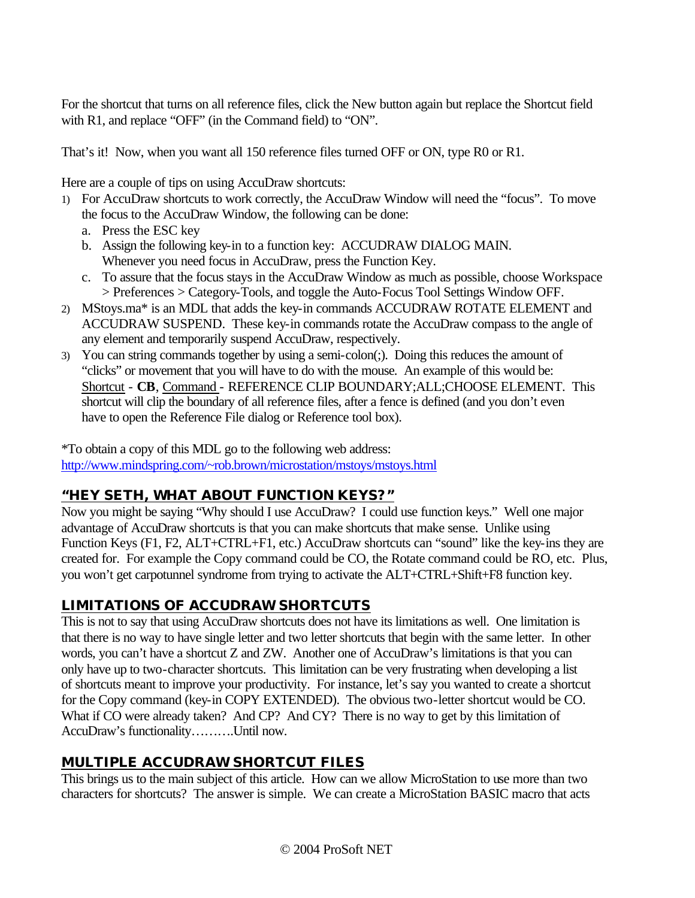For the shortcut that turns on all reference files, click the New button again but replace the Shortcut field with R1, and replace "OFF" (in the Command field) to "ON".

That's it! Now, when you want all 150 reference files turned OFF or ON, type R0 or R1.

Here are a couple of tips on using AccuDraw shortcuts:

- 1) For AccuDraw shortcuts to work correctly, the AccuDraw Window will need the "focus". To move the focus to the AccuDraw Window, the following can be done:
	- a. Press the ESC key
	- b. Assign the following key-in to a function key: ACCUDRAW DIALOG MAIN. Whenever you need focus in AccuDraw, press the Function Key.
	- c. To assure that the focus stays in the AccuDraw Window as much as possible, choose Workspace > Preferences > Category-Tools, and toggle the Auto-Focus Tool Settings Window OFF.
- 2) MStoys.ma\* is an MDL that adds the key-in commands ACCUDRAW ROTATE ELEMENT and ACCUDRAW SUSPEND. These key-in commands rotate the AccuDraw compass to the angle of any element and temporarily suspend AccuDraw, respectively.
- 3) You can string commands together by using a semi-colon(;). Doing this reduces the amount of "clicks" or movement that you will have to do with the mouse. An example of this would be: Shortcut - **CB**, Command - REFERENCE CLIP BOUNDARY;ALL;CHOOSE ELEMENT. This shortcut will clip the boundary of all reference files, after a fence is defined (and you don't even have to open the Reference File dialog or Reference tool box).

\*To obtain a copy of this MDL go to the following web address: http://www.mindspring.com/~rob.brown/microstation/mstoys/mstoys.html

# **"HEY SETH, WHAT ABOUT FUNCTION KEYS?"**

Now you might be saying "Why should I use AccuDraw? I could use function keys." Well one major advantage of AccuDraw shortcuts is that you can make shortcuts that make sense. Unlike using Function Keys (F1, F2, ALT+CTRL+F1, etc.) AccuDraw shortcuts can "sound" like the key-ins they are created for. For example the Copy command could be CO, the Rotate command could be RO, etc. Plus, you won't get carpotunnel syndrome from trying to activate the ALT+CTRL+Shift+F8 function key.

# **LIMITATIONS OF ACCUDRAW SHORTCUTS**

This is not to say that using AccuDraw shortcuts does not have its limitations as well. One limitation is that there is no way to have single letter and two letter shortcuts that begin with the same letter. In other words, you can't have a shortcut Z and ZW. Another one of AccuDraw's limitations is that you can only have up to two-character shortcuts. This limitation can be very frustrating when developing a list of shortcuts meant to improve your productivity. For instance, let's say you wanted to create a shortcut for the Copy command (key-in COPY EXTENDED). The obvious two-letter shortcut would be CO. What if CO were already taken? And CP? And CY? There is no way to get by this limitation of AccuDraw's functionality……….Until now.

# **MULTIPLE ACCUDRAW SHORTCUT FILES**

This brings us to the main subject of this article. How can we allow MicroStation to use more than two characters for shortcuts? The answer is simple. We can create a MicroStation BASIC macro that acts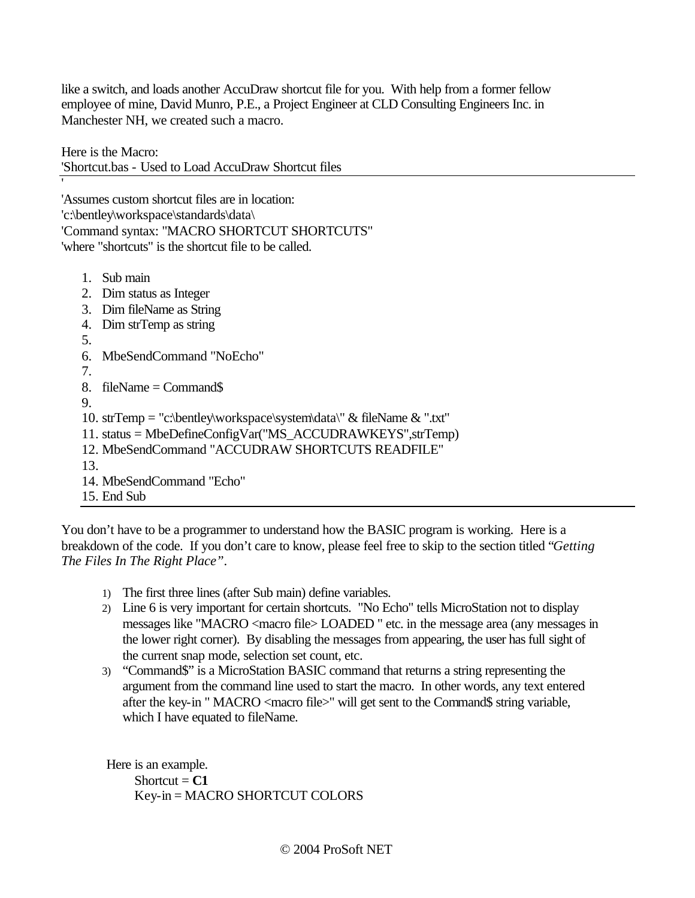like a switch, and loads another AccuDraw shortcut file for you. With help from a former fellow employee of mine, David Munro, P.E., a Project Engineer at CLD Consulting Engineers Inc. in Manchester NH, we created such a macro.

Here is the Macro:

'

'Shortcut.bas - Used to Load AccuDraw Shortcut files

'Assumes custom shortcut files are in location: 'c:\bentley\workspace\standards\data\ 'Command syntax: "MACRO SHORTCUT SHORTCUTS" 'where "shortcuts" is the shortcut file to be called.

- 1. Sub main
- 2. Dim status as Integer
- 3. Dim fileName as String
- 4. Dim strTemp as string
- 5.
- 6. MbeSendCommand "NoEcho"
- 7.
- 8. fileName = Command\$
- 9.
- 10. strTemp = "c:\bentley\workspace\system\data\" & fileName & ".txt"
- 11. status = MbeDefineConfigVar("MS\_ACCUDRAWKEYS",strTemp)
- 12. MbeSendCommand "ACCUDRAW SHORTCUTS READFILE"
- 13.
- 14. MbeSendCommand "Echo"
- 15. End Sub

You don't have to be a programmer to understand how the BASIC program is working. Here is a breakdown of the code. If you don't care to know, please feel free to skip to the section titled "*Getting The Files In The Right Place"*.

- 1) The first three lines (after Sub main) define variables.
- 2) Line 6 is very important for certain shortcuts. "No Echo" tells MicroStation not to display messages like "MACRO <macro file> LOADED " etc. in the message area (any messages in the lower right corner). By disabling the messages from appearing, the user has full sight of the current snap mode, selection set count, etc.
- 3) "Command\$" is a MicroStation BASIC command that returns a string representing the argument from the command line used to start the macro. In other words, any text entered after the key-in " MACRO <macro file>" will get sent to the Command\$ string variable, which I have equated to fileName.

Here is an example. Shortcut  $= C1$ Key-in = MACRO SHORTCUT COLORS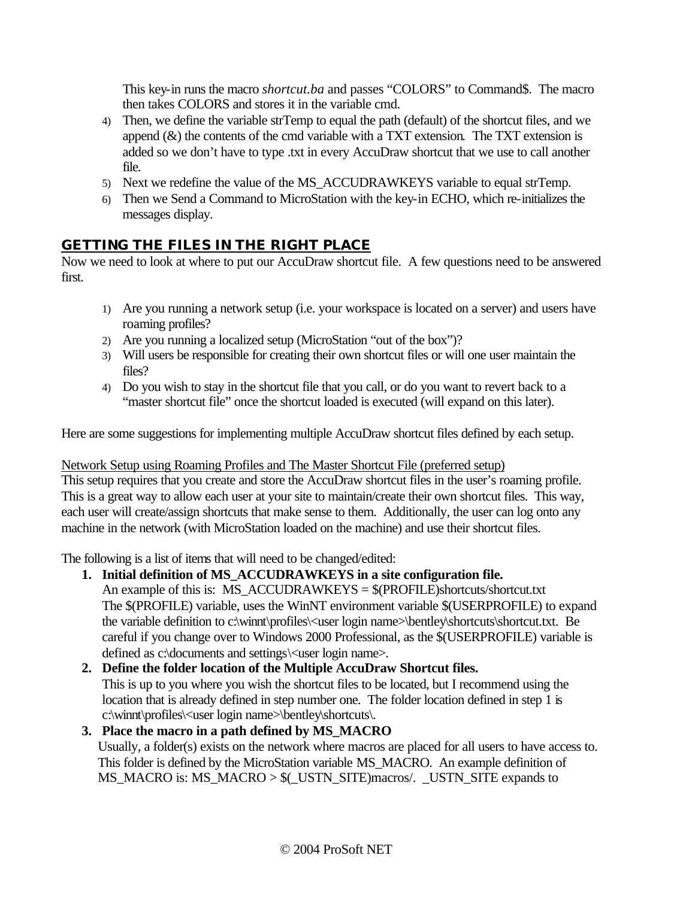This key-in runs the macro *shortcut.ba* and passes "COLORS" to Command\$. The macro then takes COLORS and stores it in the variable cmd.

- 4) Then, we define the variable strTemp to equal the path (default) of the shortcut files, and we append  $(\&)$  the contents of the cmd variable with a TXT extension. The TXT extension is added so we don't have to type .txt in every AccuDraw shortcut that we use to call another file.
- 5) Next we redefine the value of the MS\_ACCUDRAWKEYS variable to equal strTemp.
- 6) Then we Send a Command to MicroStation with the key-in ECHO, which re-initializes the messages display.

# **GETTING THE FILES IN THE RIGHT PLACE**

Now we need to look at where to put our AccuDraw shortcut file. A few questions need to be answered first.

- 1) Are you running a network setup (i.e. your workspace is located on a server) and users have roaming profiles?
- 2) Are you running a localized setup (MicroStation "out of the box")?
- 3) Will users be responsible for creating their own shortcut files or will one user maintain the files?
- 4) Do you wish to stay in the shortcut file that you call, or do you want to revert back to a "master shortcut file" once the shortcut loaded is executed (will expand on this later).

Here are some suggestions for implementing multiple AccuDraw shortcut files defined by each setup.

Network Setup using Roaming Profiles and The Master Shortcut File (preferred setup)

This setup requires that you create and store the AccuDraw shortcut files in the user's roaming profile. This is a great way to allow each user at your site to maintain/create their own shortcut files. This way, each user will create/assign shortcuts that make sense to them. Additionally, the user can log onto any machine in the network (with MicroStation loaded on the machine) and use their shortcut files.

The following is a list of items that will need to be changed/edited:

# **1. Initial definition of MS\_ACCUDRAWKEYS in a site configuration file.**

An example of this is: MS\_ACCUDRAWKEYS = \$(PROFILE)shortcuts/shortcut.txt The \$(PROFILE) variable, uses the WinNT environment variable \$(USERPROFILE) to expand the variable definition to c:\winnt\profiles\<user login name>\bentley\shortcuts\shortcut.txt. Be careful if you change over to Windows 2000 Professional, as the \$(USERPROFILE) variable is defined as c:\documents and settings\<user login name>.

### **2. Define the folder location of the Multiple AccuDraw Shortcut files.**

This is up to you where you wish the shortcut files to be located, but I recommend using the location that is already defined in step number one. The folder location defined in step 1 is c:\winnt\profiles\<user login name>\bentley\shortcuts\.

# **3. Place the macro in a path defined by MS\_MACRO**

Usually, a folder(s) exists on the network where macros are placed for all users to have access to. This folder is defined by the MicroStation variable MS\_MACRO. An example definition of MS\_MACRO is: MS\_MACRO > \$(\_USTN\_SITE)macros/. \_USTN\_SITE expands to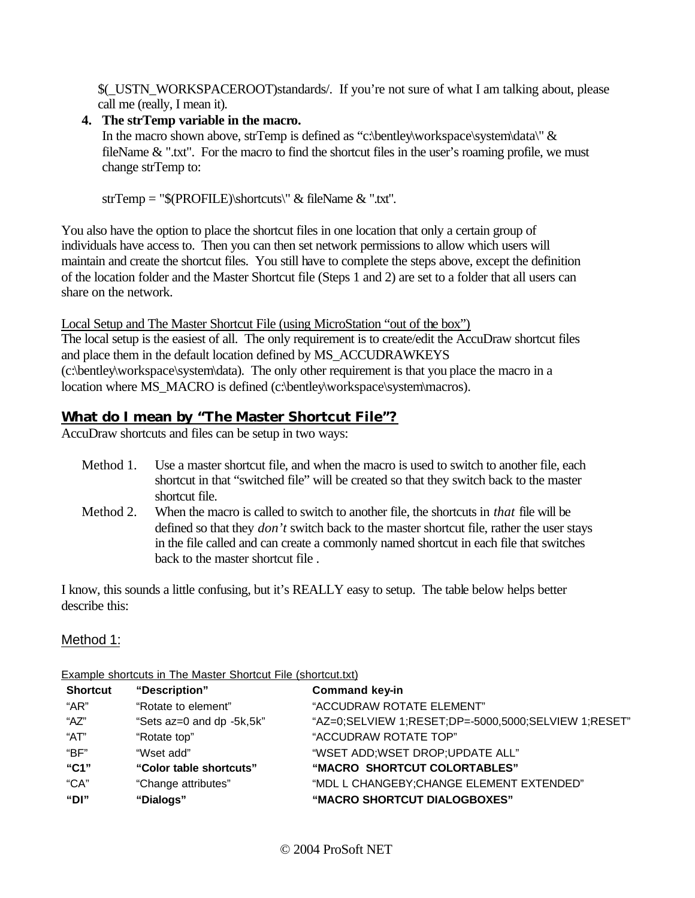\$(\_USTN\_WORKSPACEROOT)standards/. If you're not sure of what I am talking about, please call me (really, I mean it).

### **4. The strTemp variable in the macro.**

In the macro shown above, strTemp is defined as "c:\bentley\workspace\system\data\"  $\&$ fileName & ".txt". For the macro to find the shortcut files in the user's roaming profile, we must change strTemp to:

strTemp = "\$(PROFILE)\shortcuts\" & fileName & ".txt".

You also have the option to place the shortcut files in one location that only a certain group of individuals have access to. Then you can then set network permissions to allow which users will maintain and create the shortcut files. You still have to complete the steps above, except the definition of the location folder and the Master Shortcut file (Steps 1 and 2) are set to a folder that all users can share on the network.

Local Setup and The Master Shortcut File (using MicroStation "out of the box") The local setup is the easiest of all. The only requirement is to create/edit the AccuDraw shortcut files and place them in the default location defined by MS\_ACCUDRAWKEYS (c:\bentley\workspace\system\data). The only other requirement is that you place the macro in a location where MS\_MACRO is defined (c:\bentley\workspace\system\macros).

# **What do I mean by "The Master Shortcut File"?**

AccuDraw shortcuts and files can be setup in two ways:

- Method 1. Use a master shortcut file, and when the macro is used to switch to another file, each shortcut in that "switched file" will be created so that they switch back to the master shortcut file.
- Method 2. When the macro is called to switch to another file, the shortcuts in *that* file will be defined so that they *don't* switch back to the master shortcut file, rather the user stays in the file called and can create a commonly named shortcut in each file that switches back to the master shortcut file .

I know, this sounds a little confusing, but it's REALLY easy to setup. The table below helps better describe this:

# Method 1:

| <b>Example shortcuts in The Master Shortcut File (Shortcut.ixt)</b> |                           |                                                      |  |  |
|---------------------------------------------------------------------|---------------------------|------------------------------------------------------|--|--|
| <b>Shortcut</b>                                                     | "Description"             | <b>Command key-in</b>                                |  |  |
| "AR"                                                                | "Rotate to element"       | "ACCUDRAW ROTATE ELEMENT"                            |  |  |
| "AZ"                                                                | "Sets az=0 and dp -5k,5k" | "AZ=0;SELVIEW 1;RESET;DP=-5000,5000;SELVIEW 1;RESET" |  |  |
| "AT"                                                                | "Rotate top"              | "ACCUDRAW ROTATE TOP"                                |  |  |
| "BF"                                                                | "Wset add"                | "WSET ADD;WSET DROP;UPDATE ALL"                      |  |  |
| "C1"                                                                | "Color table shortcuts"   | "MACRO SHORTCUT COLORTABLES"                         |  |  |
| "CA"                                                                | "Change attributes"       | "MDL L CHANGEBY; CHANGE ELEMENT EXTENDED"            |  |  |
| "DI"                                                                | "Dialogs"                 | "MACRO SHORTCUT DIALOGBOXES"                         |  |  |
|                                                                     |                           |                                                      |  |  |

Example shortcuts in The Master Shortcut File (shortcut.txt)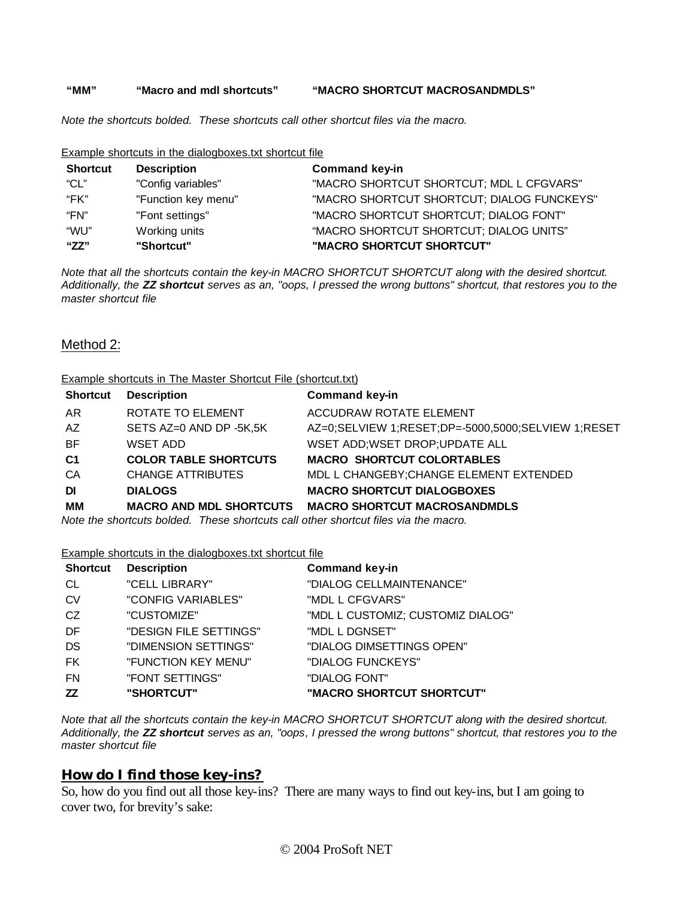#### **"MM" "Macro and mdl shortcuts" "MACRO SHORTCUT MACROSANDMDLS"**

*Note the shortcuts bolded. These shortcuts call other shortcut files via the macro.*

#### Example shortcuts in the dialogboxes.txt shortcut file

| <b>Shortcut</b> | <b>Description</b>  | <b>Command key-in</b>                      |
|-----------------|---------------------|--------------------------------------------|
| "CL"            | "Config variables"  | "MACRO SHORTCUT SHORTCUT; MDL L CFGVARS"   |
| "FK"            | "Function key menu" | "MACRO SHORTCUT SHORTCUT; DIALOG FUNCKEYS" |
| "FN"            | "Font settings"     | "MACRO SHORTCUT SHORTCUT; DIALOG FONT"     |
| "WU"            | Working units       | "MACRO SHORTCUT SHORTCUT; DIALOG UNITS"    |
| "ZZ"            | "Shortcut"          | "MACRO SHORTCUT SHORTCUT"                  |

*Note that all the shortcuts contain the key-in MACRO SHORTCUT SHORTCUT along with the desired shortcut. Additionally, the ZZ shortcut serves as an, "oops, I pressed the wrong buttons" shortcut, that restores you to the master shortcut file*

#### Method 2:

#### Example shortcuts in The Master Shortcut File (shortcut.txt)

| <b>Shortcut</b>                                                                     | <b>Description</b>             | <b>Command key-in</b>                              |  |
|-------------------------------------------------------------------------------------|--------------------------------|----------------------------------------------------|--|
| AR                                                                                  | ROTATE TO ELEMENT              | <b>ACCUDRAW ROTATE ELEMENT</b>                     |  |
| AZ                                                                                  | SETS AZ=0 AND DP -5K,5K        | AZ=0;SELVIEW 1;RESET;DP=-5000,5000;SELVIEW 1:RESET |  |
| <b>BF</b>                                                                           | WSET ADD                       | WSET ADD; WSET DROP; UPDATE ALL                    |  |
| C <sub>1</sub>                                                                      | <b>COLOR TABLE SHORTCUTS</b>   | <b>MACRO SHORTCUT COLORTABLES</b>                  |  |
| CA                                                                                  | <b>CHANGE ATTRIBUTES</b>       | MDL L CHANGEBY; CHANGE ELEMENT EXTENDED            |  |
| DI                                                                                  | <b>DIALOGS</b>                 | <b>MACRO SHORTCUT DIALOGBOXES</b>                  |  |
| MМ                                                                                  | <b>MACRO AND MDL SHORTCUTS</b> | <b>MACRO SHORTCUT MACROSANDMDLS</b>                |  |
| Note the shortcuts bolded. These shortcuts call other shortcut files via the macro. |                                |                                                    |  |

Example shortcuts in the dialogboxes.txt shortcut file

| <b>Shortcut</b> | <b>Description</b>     | <b>Command key-in</b>             |
|-----------------|------------------------|-----------------------------------|
| CL              | "CELL LIBRARY"         | "DIALOG CELLMAINTENANCE"          |
| <b>CV</b>       | "CONFIG VARIABLES"     | "MDL L CFGVARS"                   |
| CZ.             | "CUSTOMIZE"            | "MDL L CUSTOMIZ; CUSTOMIZ DIALOG" |
| DF              | "DESIGN FILE SETTINGS" | "MDL L DGNSET"                    |
| DS              | "DIMENSION SETTINGS"   | "DIALOG DIMSETTINGS OPEN"         |
| <b>FK</b>       | "FUNCTION KEY MENU"    | "DIALOG FUNCKEYS"                 |
| <b>FN</b>       | "FONT SETTINGS"        | "DIALOG FONT"                     |
| ZZ              | "SHORTCUT"             | "MACRO SHORTCUT SHORTCUT"         |

*Note that all the shortcuts contain the key-in MACRO SHORTCUT SHORTCUT along with the desired shortcut. Additionally, the ZZ shortcut serves as an, "oops, I pressed the wrong buttons" shortcut, that restores you to the master shortcut file*

#### **How do I find those key-ins?**

So, how do you find out all those key-ins? There are many ways to find out key-ins, but I am going to cover two, for brevity's sake: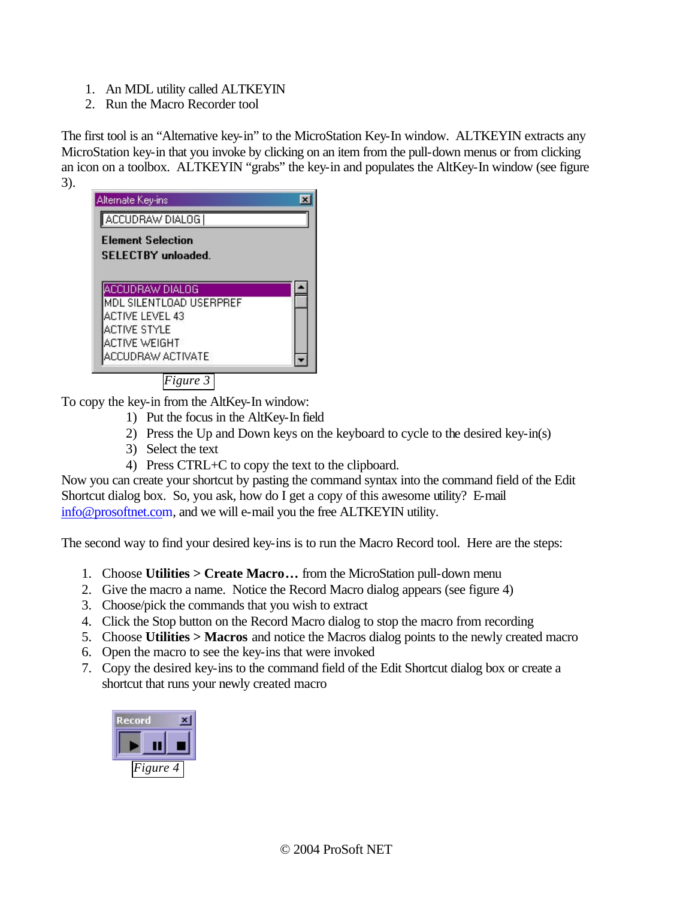- 1. An MDL utility called ALTKEYIN
- 2. Run the Macro Recorder tool

The first tool is an "Alternative key-in" to the MicroStation Key-In window. ALTKEYIN extracts any MicroStation key-in that you invoke by clicking on an item from the pull-down menus or from clicking an icon on a toolbox. ALTKEYIN "grabs" the key-in and populates the AltKey-In window (see figure 3).



*Figure 3*

To copy the key-in from the AltKey-In window:

- 1) Put the focus in the AltKey-In field
- 2) Press the Up and Down keys on the keyboard to cycle to the desired key-in(s)
- 3) Select the text
- 4) Press CTRL+C to copy the text to the clipboard.

Now you can create your shortcut by pasting the command syntax into the command field of the Edit Shortcut dialog box. So, you ask, how do I get a copy of this awesome utility? E-mail info@prosoftnet.com, and we will e-mail you the free ALTKEYIN utility.

The second way to find your desired key-ins is to run the Macro Record tool. Here are the steps:

- 1. Choose **Utilities > Create Macro…** from the MicroStation pull-down menu
- 2. Give the macro a name. Notice the Record Macro dialog appears (see figure 4)
- 3. Choose/pick the commands that you wish to extract
- 4. Click the Stop button on the Record Macro dialog to stop the macro from recording
- 5. Choose **Utilities > Macros** and notice the Macros dialog points to the newly created macro
- 6. Open the macro to see the key-ins that were invoked
- 7. Copy the desired key-ins to the command field of the Edit Shortcut dialog box or create a shortcut that runs your newly created macro